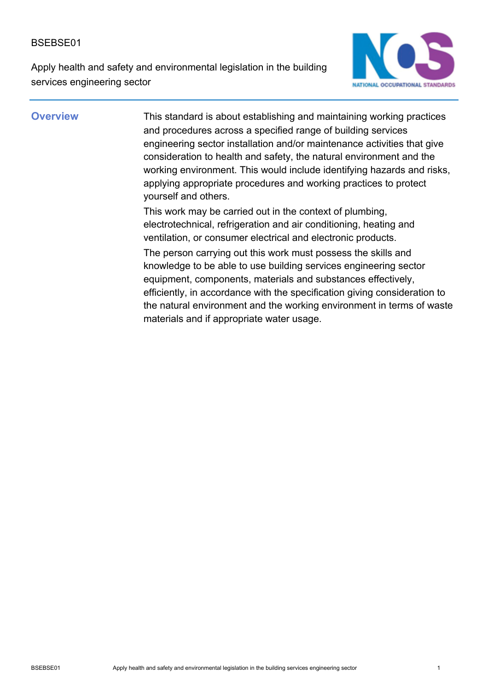Apply health and safety and environmental legislation in the building services engineering sector



**Overview** This standard is about establishing and maintaining working practices and procedures across a specified range of building services engineering sector installation and/or maintenance activities that give consideration to health and safety, the natural environment and the working environment. This would include identifying hazards and risks, applying appropriate procedures and working practices to protect yourself and others.

This work may be carried out in the context of plumbing, electrotechnical, refrigeration and air conditioning, heating and ventilation, or consumer electrical and electronic products. The person carrying out this work must possess the skills and knowledge to be able to use building services engineering sector equipment, components, materials and substances effectively, efficiently, in accordance with the specification giving consideration to the natural environment and the working environment in terms of waste materials and if appropriate water usage.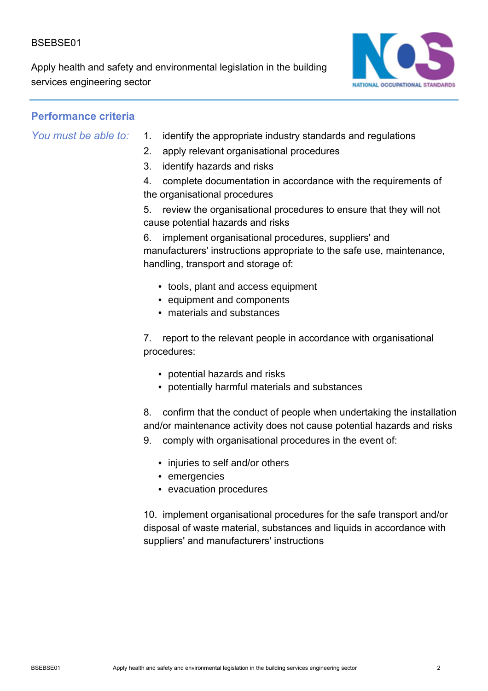Apply health and safety and environmental legislation in the building services engineering sector



# **Performance criteria**

- *You must be able to:* 1. identify the appropriate industry standards and regulations
	- 2. apply relevant organisational procedures
	- 3. identify hazards and risks
	- 4. complete documentation in accordance with the requirements of the organisational procedures
	- 5. review the organisational procedures to ensure that they will not cause potential hazards and risks

6. implement organisational procedures, suppliers' and manufacturers' instructions appropriate to the safe use, maintenance, handling, transport and storage of:

- tools, plant and access equipment
- equipment and components
- materials and substances

7. report to the relevant people in accordance with organisational procedures:

- potential hazards and risks
- potentially harmful materials and substances

8. confirm that the conduct of people when undertaking the installation and/or maintenance activity does not cause potential hazards and risks

- 9. comply with organisational procedures in the event of:
	- injuries to self and/or others
	- emergencies
	- evacuation procedures

10. implement organisational procedures for the safe transport and/or disposal of waste material, substances and liquids in accordance with suppliers' and manufacturers' instructions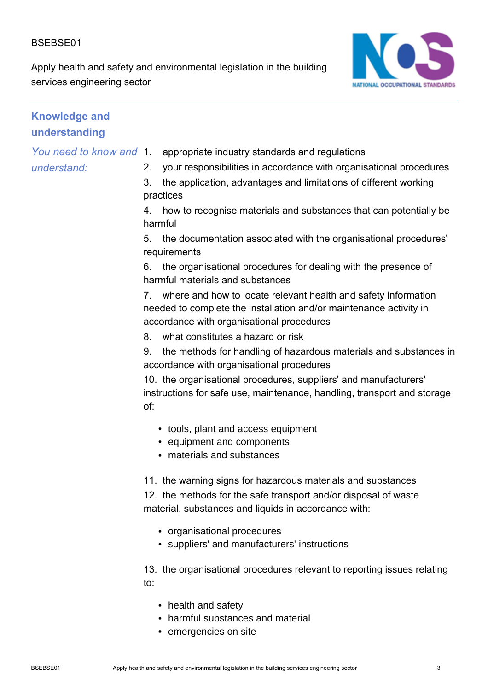Apply health and safety and environmental legislation in the building services engineering sector



# **Knowledge and understanding**

*You need to know and*

- appropriate industry standards and regulations
- *understand:*
- 2. your responsibilities in accordance with organisational procedures
- 3. the application, advantages and limitations of different working practices
- 4. how to recognise materials and substances that can potentially be harmful

5. the documentation associated with the organisational procedures' requirements

6. the organisational procedures for dealing with the presence of harmful materials and substances

7. where and how to locate relevant health and safety information needed to complete the installation and/or maintenance activity in accordance with organisational procedures

8. what constitutes a hazard or risk

9. the methods for handling of hazardous materials and substances in accordance with organisational procedures

10. the organisational procedures, suppliers' and manufacturers' instructions for safe use, maintenance, handling, transport and storage of:

- tools, plant and access equipment
- equipment and components
- materials and substances

11. the warning signs for hazardous materials and substances

12. the methods for the safe transport and/or disposal of waste material, substances and liquids in accordance with:

- organisational procedures
- suppliers' and manufacturers' instructions

13. the organisational procedures relevant to reporting issues relating to:

- health and safety
- harmful substances and material
- emergencies on site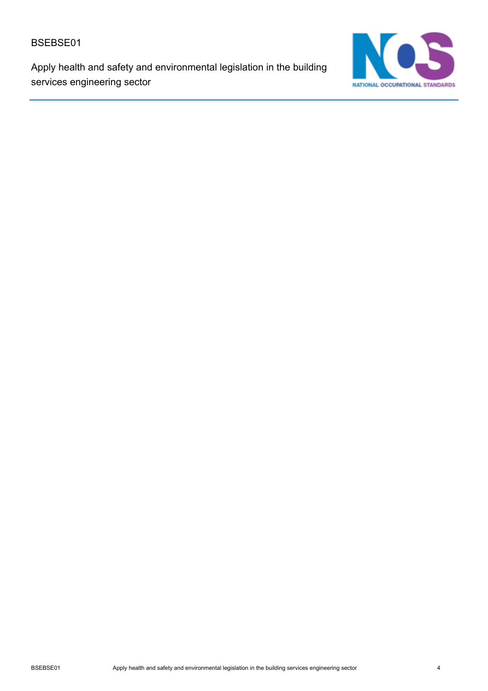Apply health and safety and environmental legislation in the building services engineering sector

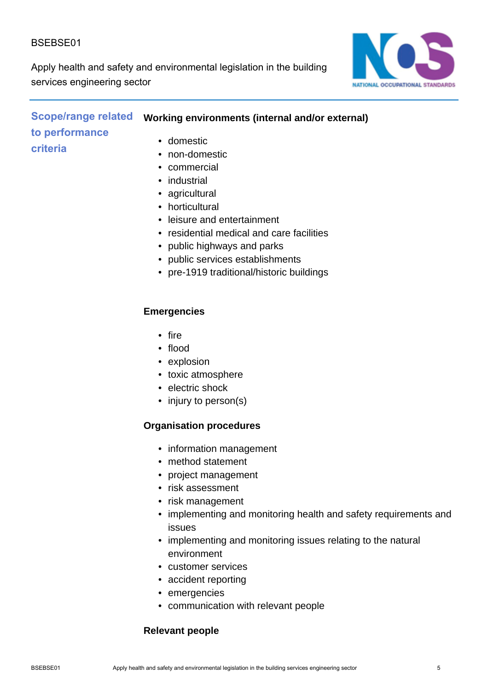Apply health and safety and environmental legislation in the building services engineering sector



| <b>Scope/range related</b> | Working environments (internal and/or external) |
|----------------------------|-------------------------------------------------|
| to performance             | • domestic                                      |
| criteria                   |                                                 |
|                            | • non-domestic                                  |

- commercial
- industrial
- agricultural
- horticultural
- leisure and entertainment
- residential medical and care facilities
- public highways and parks
- public services establishments
- pre-1919 traditional/historic buildings

### **Emergencies**

- fire
- flood
- explosion
- toxic atmosphere
- electric shock
- injury to person(s)

### **Organisation procedures**

- information management
- method statement
- project management
- risk assessment
- risk management
- implementing and monitoring health and safety requirements and issues
- implementing and monitoring issues relating to the natural environment
- customer services
- accident reporting
- emergencies
- communication with relevant people

### **Relevant people**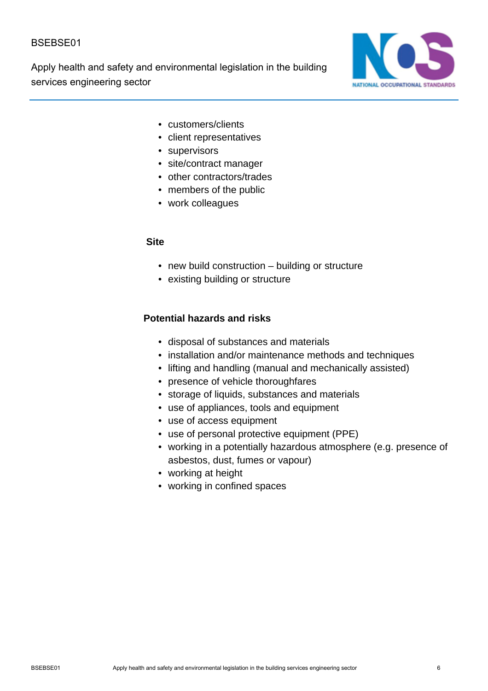Apply health and safety and environmental legislation in the building services engineering sector

![](_page_5_Picture_2.jpeg)

- customers/clients
- client representatives
- supervisors
- site/contract manager
- other contractors/trades
- members of the public
- work colleagues

#### **Site**

- new build construction building or structure
- existing building or structure

# **Potential hazards and risks**

- disposal of substances and materials
- installation and/or maintenance methods and techniques
- lifting and handling (manual and mechanically assisted)
- presence of vehicle thoroughfares
- storage of liquids, substances and materials
- use of appliances, tools and equipment
- use of access equipment
- use of personal protective equipment (PPE)
- working in a potentially hazardous atmosphere (e.g. presence of asbestos, dust, fumes or vapour)
- working at height
- working in confined spaces